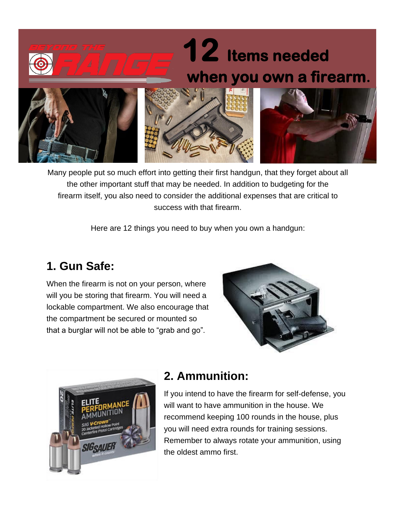# **12 Items needed when you own a firearm.**







Many people put so much effort into getting their first handgun, that they forget about all the other important stuff that may be needed. In addition to budgeting for the firearm itself, you also need to consider the additional expenses that are critical to success with that firearm.

Here are 12 things you need to buy when you own a handgun:

# **1. Gun Safe:**

When the firearm is not on your person, where will you be storing that firearm. You will need a lockable compartment. We also encourage that the compartment be secured or mounted so that a burglar will not be able to "grab and go".





## **2. Ammunition:**

If you intend to have the firearm for self-defense, you will want to have ammunition in the house. We recommend keeping 100 rounds in the house, plus you will need extra rounds for training sessions. Remember to always rotate your ammunition, using the oldest ammo first.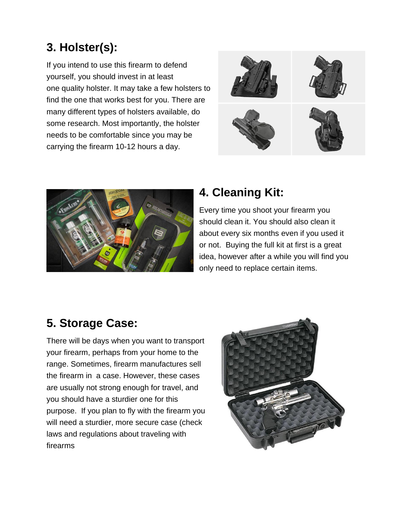## **3. Holster(s):**

If you intend to use this firearm to defend yourself, you should invest in at least one quality [holster.](https://www.concealedcarry.com/product-category/holsters/) It may take a few holsters to find the one that works best for you. There are many different types of holsters available, do some research. Most importantly, the holster needs to be comfortable since you may be carrying the firearm 10-12 hours a day.





## **4. Cleaning Kit:**

Every time you shoot your firearm you should clean it. You should also clean it about every six months even if you used it or not. Buying the full kit at first is a great idea, however after a while you will find you only need to replace certain items.

## **5. Storage Case:**

There will be days when you want to transport your firearm, perhaps from your home to the range. Sometimes, firearm manufactures sell the firearm in a case. However, these cases are usually not strong enough for travel, and you should have a sturdier one for this purpose. If you plan to fly with the firearm you will need a sturdier, more secure case (check laws and regulations about traveling with firearms

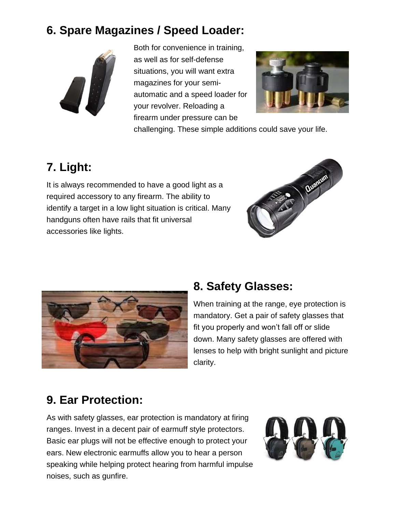# **6. Spare Magazines / Speed Loader:**



Both for convenience in training, as well as for self-defense situations, you will want extra magazines for your semiautomatic and a speed loader for your revolver. Reloading a firearm under pressure can be



challenging. These simple additions could save your life.

# **7. Light:**

It is always recommended to have a good light as a required accessory to any firearm. The ability to identify a target in a low light situation is critical. Many handguns often have rails that fit universal accessories like lights.





## **8. Safety Glasses:**

When training at the range, eye protection is mandatory. Get a pair of safety glasses that fit you properly and won't fall off or slide down. Many safety glasses are offered with lenses to help with bright sunlight and picture clarity.

## **9. Ear Protection:**

As with safety glasses, ear protection is mandatory at firing ranges. Invest in a decent pair of earmuff style protectors. Basic ear plugs will not be effective enough to protect your ears. New electronic earmuffs allow you to hear a person speaking while helping protect hearing from harmful impulse noises, such as gunfire.